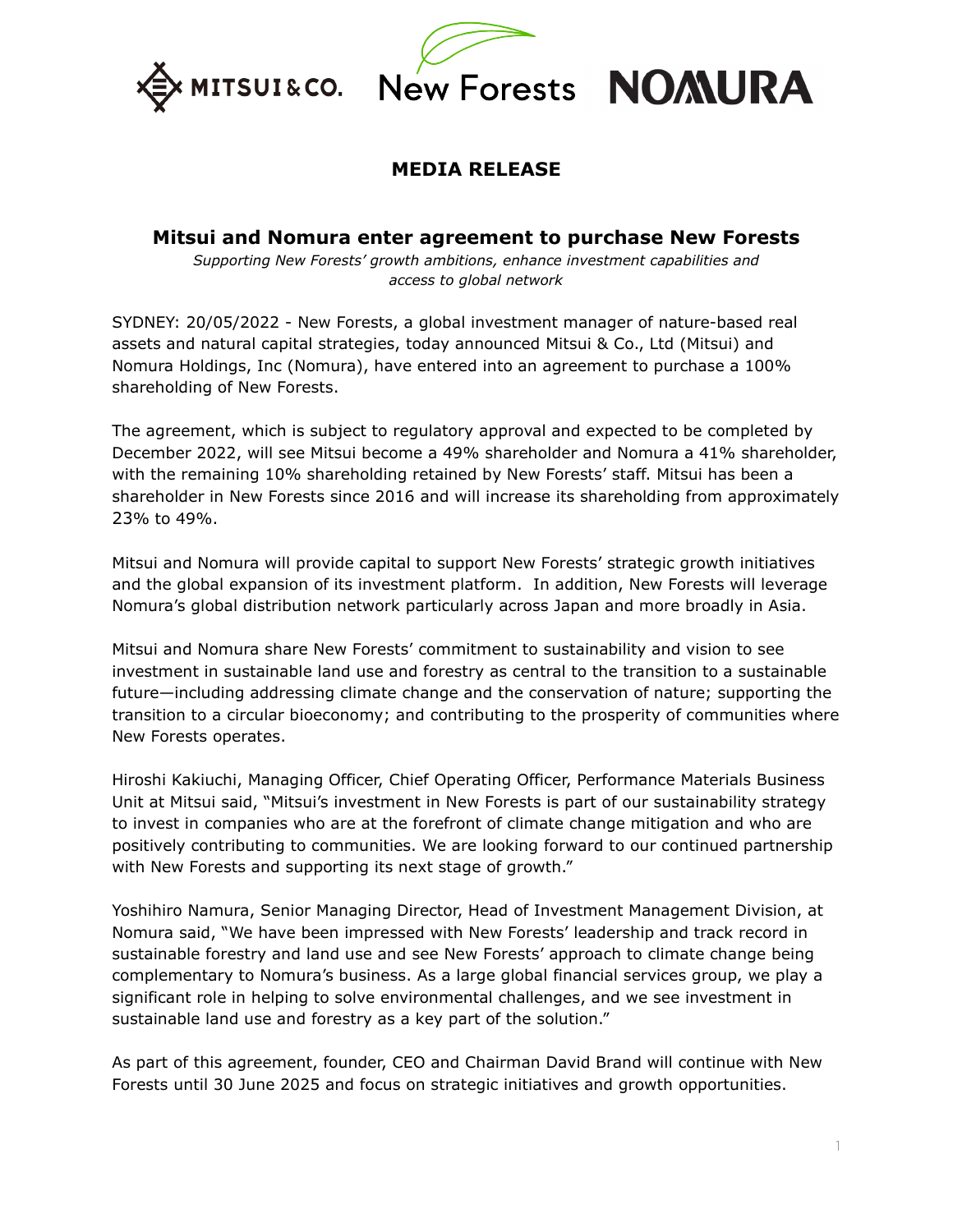



# **MEDIA RELEASE**

# **Mitsui and Nomura enter agreement to purchase New Forests**

*Supporting New Forests' growth ambitions, enhance investment capabilities and access to global network*

SYDNEY: 20/05/2022 - New Forests, a global investment manager of nature-based real assets and natural capital strategies, today announced Mitsui & Co., Ltd (Mitsui) and Nomura Holdings, Inc (Nomura), have entered into an agreement to purchase a 100% shareholding of New Forests.

The agreement, which is subject to regulatory approval and expected to be completed by December 2022, will see Mitsui become a 49% shareholder and Nomura a 41% shareholder, with the remaining 10% shareholding retained by New Forests' staff. Mitsui has been a shareholder in New Forests since 2016 and will increase its shareholding from approximately 23% to 49%.

Mitsui and Nomura will provide capital to support New Forests' strategic growth initiatives and the global expansion of its investment platform. In addition, New Forests will leverage Nomura's global distribution network particularly across Japan and more broadly in Asia.

Mitsui and Nomura share New Forests' commitment to sustainability and vision to see investment in sustainable land use and forestry as central to the transition to a sustainable future—including addressing climate change and the conservation of nature; supporting the transition to a circular bioeconomy; and contributing to the prosperity of communities where New Forests operates.

Hiroshi Kakiuchi, Managing Officer, Chief Operating Officer, Performance Materials Business Unit at Mitsui said, "Mitsui's investment in New Forests is part of our sustainability strategy to invest in companies who are at the forefront of climate change mitigation and who are positively contributing to communities. We are looking forward to our continued partnership with New Forests and supporting its next stage of growth."

Yoshihiro Namura, Senior Managing Director, Head of Investment Management Division, at Nomura said, "We have been impressed with New Forests' leadership and track record in sustainable forestry and land use and see New Forests' approach to climate change being complementary to Nomura's business. As a large global financial services group, we play a significant role in helping to solve environmental challenges, and we see investment in sustainable land use and forestry as a key part of the solution."

As part of this agreement, founder, CEO and Chairman David Brand will continue with New Forests until 30 June 2025 and focus on strategic initiatives and growth opportunities.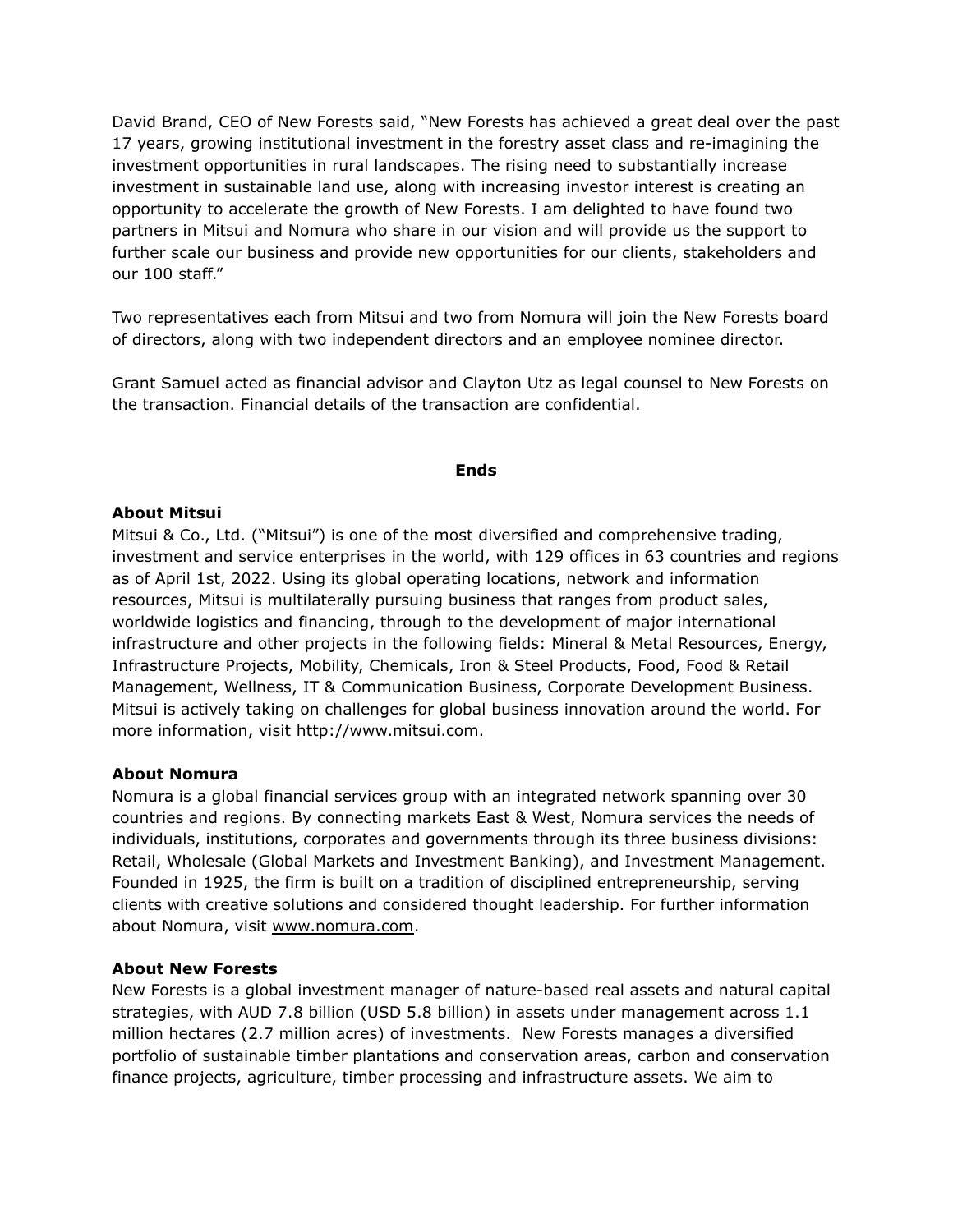David Brand, CEO of New Forests said, "New Forests has achieved a great deal over the past 17 years, growing institutional investment in the forestry asset class and re-imagining the investment opportunities in rural landscapes. The rising need to substantially increase investment in sustainable land use, along with increasing investor interest is creating an opportunity to accelerate the growth of New Forests. I am delighted to have found two partners in Mitsui and Nomura who share in our vision and will provide us the support to further scale our business and provide new opportunities for our clients, stakeholders and our 100 staff."

Two representatives each from Mitsui and two from Nomura will join the New Forests board of directors, along with two independent directors and an employee nominee director.

Grant Samuel acted as financial advisor and Clayton Utz as legal counsel to New Forests on the transaction. Financial details of the transaction are confidential.

## **Ends**

# **About Mitsui**

Mitsui & Co., Ltd. ("Mitsui") is one of the most diversified and comprehensive trading, investment and service enterprises in the world, with 129 offices in 63 countries and regions as of April 1st, 2022. Using its global operating locations, network and information resources, Mitsui is multilaterally pursuing business that ranges from product sales, worldwide logistics and financing, through to the development of major international infrastructure and other projects in the following fields: Mineral & Metal Resources, Energy, Infrastructure Projects, Mobility, Chemicals, Iron & Steel Products, Food, Food & Retail Management, Wellness, IT & Communication Business, Corporate Development Business. Mitsui is actively taking on challenges for global business innovation around the world. For more information, visit http://www.mitsui.com.

### **About Nomura**

Nomura is a global financial services group with an integrated network spanning over 30 countries and regions. By connecting markets East & West, Nomura services the needs of individuals, institutions, corporates and governments through its three business divisions: Retail, Wholesale (Global Markets and Investment Banking), and Investment Management. Founded in 1925, the firm is built on a tradition of disciplined entrepreneurship, serving clients with creative solutions and considered thought leadership. For further information about Nomura, visit www.nomura.com.

### **About New Forests**

New Forests is a global investment manager of nature-based real assets and natural capital strategies, with AUD 7.8 billion (USD 5.8 billion) in assets under management across 1.1 million hectares (2.7 million acres) of investments. New Forests manages a diversified portfolio of sustainable timber plantations and conservation areas, carbon and conservation finance projects, agriculture, timber processing and infrastructure assets. We aim to